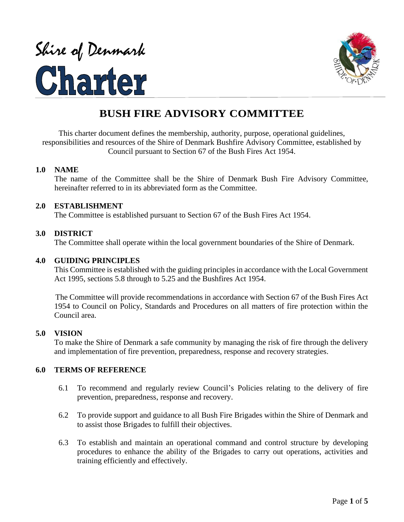# Shire of Denmark<br>Charter



# **BUSH FIRE ADVISORY COMMITTEE**

This charter document defines the membership, authority, purpose, operational guidelines, responsibilities and resources of the Shire of Denmark Bushfire Advisory Committee, established by Council pursuant to Section 67 of the Bush Fires Act 1954.

### **1.0 NAME**

The name of the Committee shall be the Shire of Denmark Bush Fire Advisory Committee, hereinafter referred to in its abbreviated form as the Committee.

### **2.0 ESTABLISHMENT**

The Committee is established pursuant to Section 67 of the Bush Fires Act 1954.

### **3.0 DISTRICT**

The Committee shall operate within the local government boundaries of the Shire of Denmark.

### **4.0 GUIDING PRINCIPLES**

This Committee is established with the guiding principles in accordance with the Local Government Act 1995, sections 5.8 through to 5.25 and the Bushfires Act 1954.

 The Committee will provide recommendations in accordance with Section 67 of the Bush Fires Act 1954 to Council on Policy, Standards and Procedures on all matters of fire protection within the Council area.

### **5.0 VISION**

To make the Shire of Denmark a safe community by managing the risk of fire through the delivery and implementation of fire prevention, preparedness, response and recovery strategies.

### **6.0 TERMS OF REFERENCE**

- 6.1 To recommend and regularly review Council's Policies relating to the delivery of fire prevention, preparedness, response and recovery.
- 6.2 To provide support and guidance to all Bush Fire Brigades within the Shire of Denmark and to assist those Brigades to fulfill their objectives.
- 6.3 To establish and maintain an operational command and control structure by developing procedures to enhance the ability of the Brigades to carry out operations, activities and training efficiently and effectively.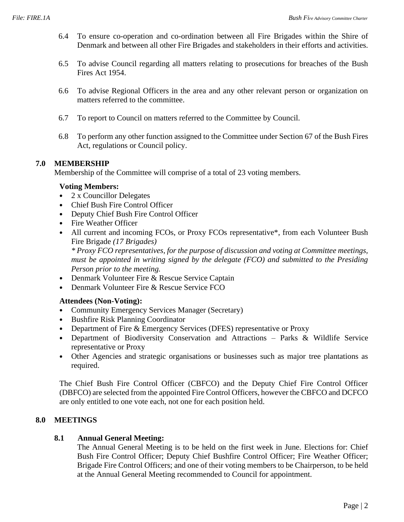- 6.4 To ensure co-operation and co-ordination between all Fire Brigades within the Shire of Denmark and between all other Fire Brigades and stakeholders in their efforts and activities.
- 6.5 To advise Council regarding all matters relating to prosecutions for breaches of the Bush Fires Act 1954.
- 6.6 To advise Regional Officers in the area and any other relevant person or organization on matters referred to the committee.
- 6.7 To report to Council on matters referred to the Committee by Council.
- 6.8 To perform any other function assigned to the Committee under Section 67 of the Bush Fires Act, regulations or Council policy.

### **7.0 MEMBERSHIP**

Membership of the Committee will comprise of a total of 23 voting members.

### **Voting Members:**

- 2 x Councillor Delegates
- Chief Bush Fire Control Officer
- Deputy Chief Bush Fire Control Officer
- Fire Weather Officer
- All current and incoming FCOs, or Proxy FCOs representative\*, from each Volunteer Bush Fire Brigade *(17 Brigades)*

*\* Proxy FCO representatives, for the purpose of discussion and voting at Committee meetings, must be appointed in writing signed by the delegate (FCO) and submitted to the Presiding Person prior to the meeting.*

- Denmark Volunteer Fire & Rescue Service Captain
- Denmark Volunteer Fire & Rescue Service FCO

### **Attendees (Non-Voting):**

- Community Emergency Services Manager (Secretary)
- Bushfire Risk Planning Coordinator
- Department of Fire & Emergency Services (DFES) representative or Proxy
- Department of Biodiversity Conservation and Attractions Parks & Wildlife Service representative or Proxy
- Other Agencies and strategic organisations or businesses such as major tree plantations as required.

The Chief Bush Fire Control Officer (CBFCO) and the Deputy Chief Fire Control Officer (DBFCO) are selected from the appointed Fire Control Officers, however the CBFCO and DCFCO are only entitled to one vote each, not one for each position held.

### **8.0 MEETINGS**

### **8.1 Annual General Meeting:**

The Annual General Meeting is to be held on the first week in June. Elections for: Chief Bush Fire Control Officer; Deputy Chief Bushfire Control Officer; Fire Weather Officer; Brigade Fire Control Officers; and one of their voting members to be Chairperson, to be held at the Annual General Meeting recommended to Council for appointment.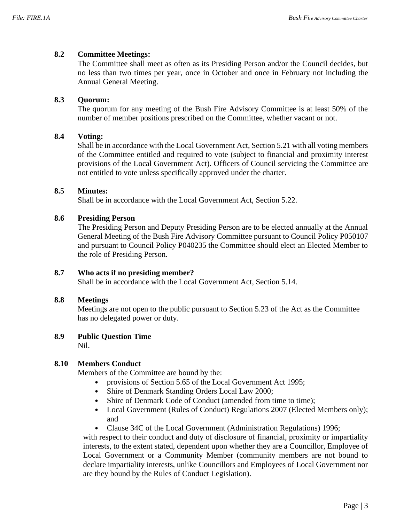### **8.2 Committee Meetings:**

The Committee shall meet as often as its Presiding Person and/or the Council decides, but no less than two times per year, once in October and once in February not including the Annual General Meeting.

### **8.3 Quorum:**

The quorum for any meeting of the Bush Fire Advisory Committee is at least 50% of the number of member positions prescribed on the Committee, whether vacant or not.

### **8.4 Voting:**

Shall be in accordance with the Local Government Act, Section 5.21 with all voting members of the Committee entitled and required to vote (subject to financial and proximity interest provisions of the Local Government Act). Officers of Council servicing the Committee are not entitled to vote unless specifically approved under the charter.

### **8.5 Minutes:**

Shall be in accordance with the Local Government Act, Section 5.22.

### **8.6 Presiding Person**

The Presiding Person and Deputy Presiding Person are to be elected annually at the Annual General Meeting of the Bush Fire Advisory Committee pursuant to Council Policy P050107 and pursuant to Council Policy P040235 the Committee should elect an Elected Member to the role of Presiding Person.

### **8.7 Who acts if no presiding member?**

Shall be in accordance with the Local Government Act, Section 5.14.

### **8.8 Meetings**

Meetings are not open to the public pursuant to Section 5.23 of the Act as the Committee has no delegated power or duty.

### **8.9 Public Question Time**

Nil.

### **8.10 Members Conduct**

Members of the Committee are bound by the:

- provisions of Section 5.65 of the Local Government Act 1995;
- Shire of Denmark Standing Orders Local Law 2000;
- Shire of Denmark Code of Conduct (amended from time to time);
- Local Government (Rules of Conduct) Regulations 2007 (Elected Members only); and
- Clause 34C of the Local Government (Administration Regulations) 1996;

with respect to their conduct and duty of disclosure of financial, proximity or impartiality interests, to the extent stated, dependent upon whether they are a Councillor, Employee of Local Government or a Community Member (community members are not bound to declare impartiality interests, unlike Councillors and Employees of Local Government nor are they bound by the Rules of Conduct Legislation).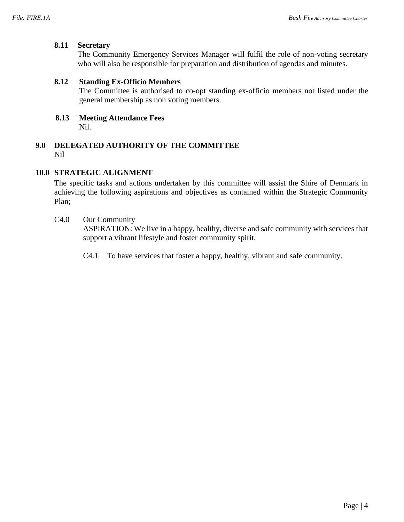### **8.11 Secretary**

The Community Emergency Services Manager will fulfil the role of non-voting secretary who will also be responsible for preparation and distribution of agendas and minutes.

### **8.12 Standing Ex-Officio Members**

The Committee is authorised to co-opt standing ex-officio members not listed under the general membership as non voting members.

 **8.13 Meeting Attendance Fees** Nil.

### **9.0 DELEGATED AUTHORITY OF THE COMMITTEE** Nil

### **10.0 STRATEGIC ALIGNMENT**

The specific tasks and actions undertaken by this committee will assist the Shire of Denmark in achieving the following aspirations and objectives as contained within the Strategic Community Plan;

### C4.0 Our Community

ASPIRATION: We live in a happy, healthy, diverse and safe community with services that support a vibrant lifestyle and foster community spirit.

C4.1 To have services that foster a happy, healthy, vibrant and safe community.